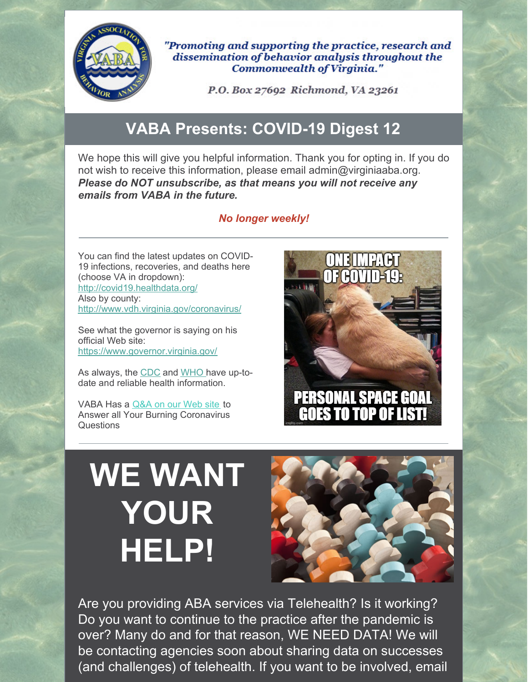

"Promoting and supporting the practice, research and dissemination of behavior analysis throughout the **Commonwealth of Virginia."** 

P.O. Box 27692 Richmond, VA 23261

### **VABA Presents: COVID-19 Digest 12**

We hope this will give you helpful information. Thank you for opting in. If you do not wish to receive this information, please email admin@virginiaaba.org. *Please do NOT unsubscribe, as that means you will not receive any emails from VABA in the future.*

#### *No longer weekly!*

You can find the latest updates on COVID-19 infections, recoveries, and deaths here (choose VA in dropdown): <http://covid19.healthdata.org/> Also by county: <http://www.vdh.virginia.gov/coronavirus/>

See what the governor is saying on his official Web site: <https://www.governor.virginia.gov/>

As always, the [CDC](https://www.cdc.gov/coronavirus/2019-nCoV/index.html) and [WHO](https://www.who.int/emergencies/diseases/novel-coronavirus-2019) have up-todate and reliable health information.

VABA Has a [Q&A](https://www.virginiaaba.org/information-on-covid-19/) on our Web site to Answer all Your Burning Coronavirus **Questions** 



# **WE WANT YOUR HELP!**



Are you providing ABA services via Telehealth? Is it working? Do you want to continue to the practice after the pandemic is over? Many do and for that reason, WE NEED DATA! We will be contacting agencies soon about sharing data on successes (and challenges) of telehealth. If you want to be involved, email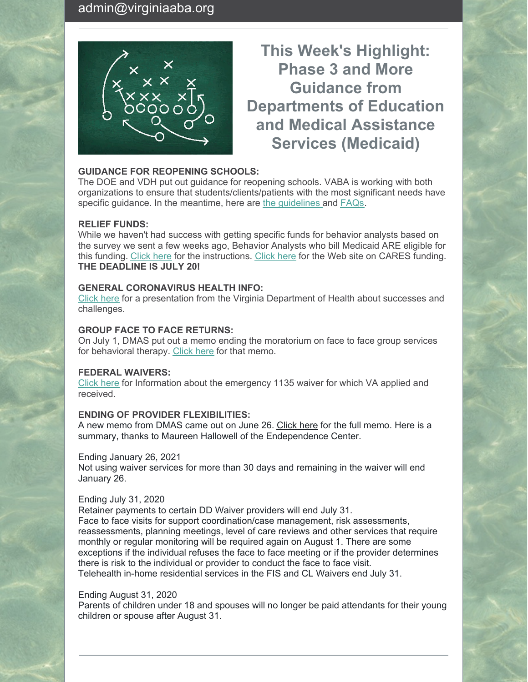

### **This Week's Highlight: Phase 3 and More Guidance from Departments of Education and Medical Assistance Services (Medicaid)**

#### **GUIDANCE FOR REOPENING SCHOOLS:**

The DOE and VDH put out guidance for reopening schools. VABA is working with both organizations to ensure that students/clients/patients with the most significant needs have specific guidance. In the meantime, here are the [guidelines](http://www.doe.virginia.gov/support/health_medical/covid-19/recover-redesign-restart-2020.pdf) and [FAQs](http://www.doe.virginia.gov/support/health_medical/office/covid-19-faq.shtml).

#### **RELIEF FUNDS:**

While we haven't had success with getting specific funds for behavior analysts based on the survey we sent a few weeks ago, Behavior Analysts who bill Medicaid ARE eligible for this funding. [Click](https://www.hhs.gov/sites/default/files/medicaid-provider-distribution-instructions.pdf?utm_campaign=covid19&utm_content=fundingwebinar&utm_medium=email&utm_source=govdelivery) here for the instructions. [Click](https://www.hhs.gov/coronavirus/cares-act-provider-relief-fund/for-providers/index.html?utm_campaign=covid19&utm_content=fundingwebinar&utm_medium=email&utm_source=govdelivery) here for the Web site on CARES funding. **THE DEADLINE IS JULY 20!**

#### **GENERAL CORONAVIRUS HEALTH INFO:**

[Click](https://www.virginiaaba.org/wp-content/uploads/2020/07/Hot-Wash-Presentation-6.24.20.pdf) here for a presentation from the Virginia Department of Health about successes and challenges.

#### **GROUP FACE TO FACE RETURNS:**

On July 1, DMAS put out a memo ending the moratorium on face to face group services for behavioral therapy. [Click](https://www.virginiaaba.org/wp-content/uploads/2020/07/Medicaid-Memo-V1.0-dtd-070120.pdf) here for that memo.

#### **FEDERAL WAIVERS:**

[Click](http://dmas.virginia.gov/files/links/5324/1135 5_20 FINAL.pdf?utm_medium=email&utm_source=govdelivery) here for Information about the emergency 1135 waiver for which VA applied and received.

#### **ENDING OF PROVIDER FLEXIBILITIES:**

A new memo from DMAS came out on June 26. [Click](https://www.virginiaaba.org/wp-content/uploads/2020/07/MSR-2020-177-001-W-Attachment-6.26.20-HCBS-Waivers-COVID-19-V1.0-dtd-062620.pdf) here for the full memo. Here is a summary, thanks to Maureen Hallowell of the Endependence Center.

#### Ending January 26, 2021

Not using waiver services for more than 30 days and remaining in the waiver will end January 26.

#### Ending July 31, 2020

Retainer payments to certain DD Waiver providers will end July 31. Face to face visits for support coordination/case management, risk assessments, reassessments, planning meetings, level of care reviews and other services that require monthly or regular monitoring will be required again on August 1. There are some exceptions if the individual refuses the face to face meeting or if the provider determines there is risk to the individual or provider to conduct the face to face visit. Telehealth in-home residential services in the FIS and CL Waivers end July 31.

#### Ending August 31, 2020

Parents of children under 18 and spouses will no longer be paid attendants for their young children or spouse after August 31.